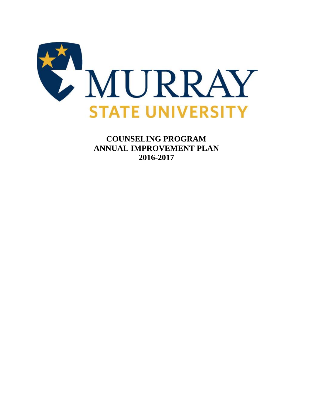

**COUNSELING PROGRAM ANNUAL IMPROVEMENT PLAN 2016-2017**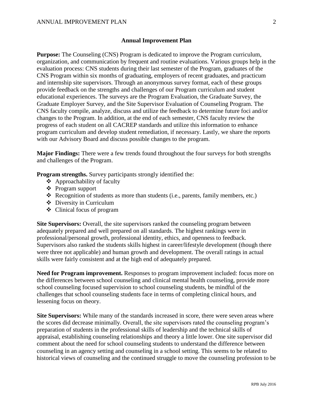## **Annual Improvement Plan**

**Purpose:** The Counseling (CNS) Program is dedicated to improve the Program curriculum, organization, and communication by frequent and routine evaluations. Various groups help in the evaluation process: CNS students during their last semester of the Program, graduates of the CNS Program within six months of graduating, employers of recent graduates, and practicum and internship site supervisors. Through an anonymous survey format, each of these groups provide feedback on the strengths and challenges of our Program curriculum and student educational experiences. The surveys are the Program Evaluation, the Graduate Survey, the Graduate Employer Survey, and the Site Supervisor Evaluation of Counseling Program. The CNS faculty compile, analyze, discuss and utilize the feedback to determine future foci and/or changes to the Program. In addition, at the end of each semester, CNS faculty review the progress of each student on all CACREP standards and utilize this information to enhance program curriculum and develop student remediation, if necessary. Lastly, we share the reports with our Advisory Board and discuss possible changes to the program.

**Major Findings:** There were a few trends found throughout the four surveys for both strengths and challenges of the Program.

**Program strengths.** Survey participants strongly identified the:

- $\triangle$  Approachability of faculty
- Program support
- Recognition of students as more than students (i.e., parents, family members, etc.)
- Diversity in Curriculum
- Clinical focus of program

**Site Supervisors:** Overall, the site supervisors ranked the counseling program between adequately prepared and well prepared on all standards. The highest rankings were in professional/personal growth, professional identity, ethics, and openness to feedback. Supervisors also ranked the students skills highest in career/lifestyle development (though there were three not applicable) and human growth and development. The overall ratings in actual skills were fairly consistent and at the high end of adequately prepared.

**Need for Program improvement.** Responses to program improvement included: focus more on the differences between school counseling and clinical mental health counseling, provide more school counseling focused supervision to school counseling students, be mindful of the challenges that school counseling students face in terms of completing clinical hours, and lessening focus on theory.

**Site Supervisors:** While many of the standards increased in score, there were seven areas where the scores did decrease minimally. Overall, the site supervisors rated the counseling program's preparation of students in the professional skills of leadership and the technical skills of appraisal, establishing counseling relationships and theory a little lower. One site supervisor did comment about the need for school counseling students to understand the difference between counseling in an agency setting and counseling in a school setting. This seems to be related to historical views of counseling and the continued struggle to move the counseling profession to be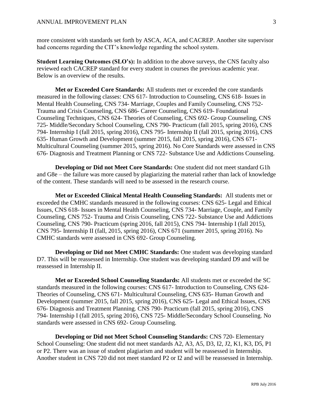more consistent with standards set forth by ASCA, ACA, and CACREP. Another site supervisor had concerns regarding the CIT's knowledge regarding the school system.

**Student Learning Outcomes (SLO's):** In addition to the above surveys, the CNS faculty also reviewed each CACREP standard for every student in courses the previous academic year. Below is an overview of the results.

**Met or Exceeded Core Standards:** All students met or exceeded the core standards measured in the following classes: CNS 617- Introduction to Counseling, CNS 618- Issues in Mental Health Counseling, CNS 734- Marriage, Couples and Family Counseling, CNS 752- Trauma and Crisis Counseling, CNS 686- Career Counseling, CNS 619- Foundational Counseling Techniques, CNS 624- Theories of Counseling, CNS 692- Group Counseling, CNS 725- Middle/Secondary School Counseling, CNS 790- Practicum (fall 2015, spring 2016), CNS 794- Internship I (fall 2015, spring 2016), CNS 795- Internship II (fall 2015, spring 2016), CNS 635- Human Growth and Development (summer 2015, fall 2015, spring 2016), CNS 671- Multicultural Counseling (summer 2015, spring 2016). No Core Standards were assessed in CNS 676- Diagnosis and Treatment Planning or CNS 722- Substance Use and Addictions Counseling.

**Developing or Did not Meet Core Standards:** One student did not meet standard G1h and G8e – the failure was more caused by plagiarizing the material rather than lack of knowledge of the content. These standards will need to be assessed in the research course.

**Met or Exceeded Clinical Mental Health Counseling Standards:** All students met or exceeded the CMHC standards measured in the following courses: CNS 625- Legal and Ethical Issues, CNS 618- Issues in Mental Health Counseling, CNS 734- Marriage, Couple, and Family Counseling, CNS 752- Trauma and Crisis Counseling, CNS 722- Substance Use and Addictions Counseling, CNS 790- Practicum (spring 2016, fall 2015), CNS 794- Internship I (fall 2015), CNS 795- Internship II (fall, 2015, spring 2016), CNS 671 (summer 2015, spring 2016). No CMHC standards were assessed in CNS 692- Group Counseling.

**Developing or Did not Meet CMHC Standards:** One student was developing standard D7. This will be reassessed in Internship. One student was developing standard D9 and will be reassessed in Internship II.

**Met or Exceeded School Counseling Standards:** All students met or exceeded the SC standards measured in the following courses: CNS 617- Introduction to Counseling, CNS 624- Theories of Counseling, CNS 671- Multicultural Counseling, CNS 635- Human Growth and Development (summer 2015, fall 2015, spring 2016), CNS 625- Legal and Ethical Issues, CNS 676- Diagnosis and Treatment Planning. CNS 790- Practicum (fall 2015, spring 2016), CNS 794- Internship I (fall 2015, spring 2016), CNS 725- Middle/Secondary School Counseling. No standards were assessed in CNS 692- Group Counseling.

**Developing or Did not Meet School Counseling Standards:** CNS 720- Elementary School Counseling: One student did not meet standards A2, A3, A5, D3, I2, J2, K1, K3, D5, P1 or P2. There was an issue of student plagiarism and student will be reassessed in Internship. Another student in CNS 720 did not meet standard P2 or I2 and will be reassessed in Internship.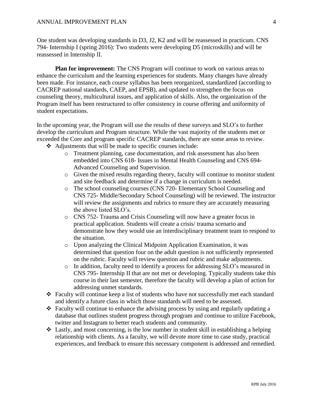One student was developing standards in D3, J2, K2 and will be reassessed in practicum. CNS 794- Internship I (spring 2016): Two students were developing D5 (microskills) and will be reassessed in Internship II.

**Plan for improvement:** The CNS Program will continue to work on various areas to enhance the curriculum and the learning experiences for students. Many changes have already been made. For instance, each course syllabus has been reorganized, standardized (according to CACREP national standards, CAEP, and EPSB), and updated to strengthen the focus on counseling theory, multicultural issues, and application of skills. Also, the organization of the Program itself has been restructured to offer consistency in course offering and uniformity of student expectations.

In the upcoming year, the Program will use the results of these surveys and SLO's to further develop the curriculum and Program structure. While the vast majority of the students met or exceeded the Core and program specific CACREP standards, there are some areas to review.

- Adjustments that will be made to specific courses include:
	- o Treatment planning, case documentation, and risk assessment has also been embedded into CNS 618- Issues in Mental Health Counseling and CNS 694- Advanced Counseling and Supervision.
	- o Given the mixed results regarding theory, faculty will continue to monitor student and site feedback and determine if a change in curriculum is needed.
	- o The school counseling courses (CNS 720- Elementary School Counseling and CNS 725- Middle/Secondary School Counseling) will be reviewed. The instructor will review the assignments and rubrics to ensure they are accurately measuring the above listed SLO's.
	- o CNS 752- Trauma and Crisis Counseling will now have a greater focus in practical application. Students will create a crisis/ trauma scenario and demonstrate how they would use an interdisciplinary treatment team to respond to the situation.
	- o Upon analyzing the Clinical Midpoint Application Examination, it was determined that question four on the adult question is not sufficiently represented on the rubric. Faculty will review question and rubric and make adjustments.
	- o In addition, faculty need to identify a process for addressing SLO's measured in CNS 795- Internship II that are not met or developing. Typically students take this course in their last semester, therefore the faculty will develop a plan of action for addressing unmet standards.
- Faculty will continue keep a list of students who have not successfully met each standard and identify a future class in which those standards will need to be assessed.
- $\triangle$  Faculty will continue to enhance the advising process by using and regularly updating a database that outlines student progress through program and continue to utilize Facebook, twitter and Instagram to better reach students and community.
- $\triangleleft$  Lastly, and most concerning, is the low number in student skill in establishing a helping relationship with clients. As a faculty, we will devote more time to case study, practical experiences, and feedback to ensure this necessary component is addressed and remedied.